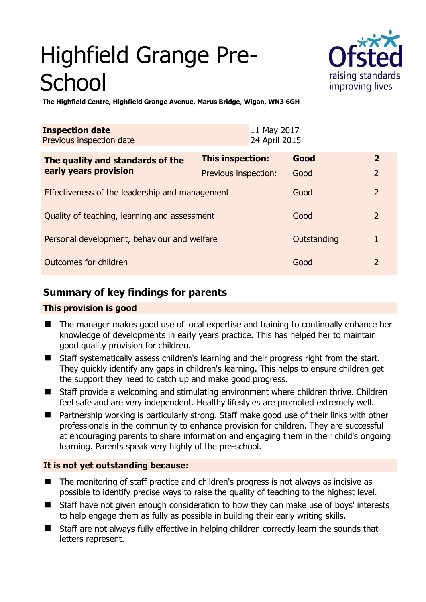# Highfield Grange Pre-**School**



**The Highfield Centre, Highfield Grange Avenue, Marus Bridge, Wigan, WN3 6GH** 

| <b>Inspection date</b><br>Previous inspection date        |                         | 11 May 2017<br>24 April 2015 |                |  |
|-----------------------------------------------------------|-------------------------|------------------------------|----------------|--|
| The quality and standards of the<br>early years provision | <b>This inspection:</b> | Good                         | $\overline{2}$ |  |
|                                                           | Previous inspection:    | Good                         | $\overline{2}$ |  |
| Effectiveness of the leadership and management            |                         | Good                         | $\overline{2}$ |  |
| Quality of teaching, learning and assessment              |                         | Good                         | $\overline{2}$ |  |
| Personal development, behaviour and welfare               |                         | Outstanding                  | 1              |  |
| Outcomes for children                                     |                         | Good                         | 2              |  |

# **Summary of key findings for parents**

## **This provision is good**

- The manager makes good use of local expertise and training to continually enhance her knowledge of developments in early years practice. This has helped her to maintain good quality provision for children.
- Staff systematically assess children's learning and their progress right from the start. They quickly identify any gaps in children's learning. This helps to ensure children get the support they need to catch up and make good progress.
- Staff provide a welcoming and stimulating environment where children thrive. Children feel safe and are very independent. Healthy lifestyles are promoted extremely well.
- Partnership working is particularly strong. Staff make good use of their links with other professionals in the community to enhance provision for children. They are successful at encouraging parents to share information and engaging them in their child's ongoing learning. Parents speak very highly of the pre-school.

## **It is not yet outstanding because:**

- The monitoring of staff practice and children's progress is not always as incisive as possible to identify precise ways to raise the quality of teaching to the highest level.
- Staff have not given enough consideration to how they can make use of boys' interests to help engage them as fully as possible in building their early writing skills.
- Staff are not always fully effective in helping children correctly learn the sounds that letters represent.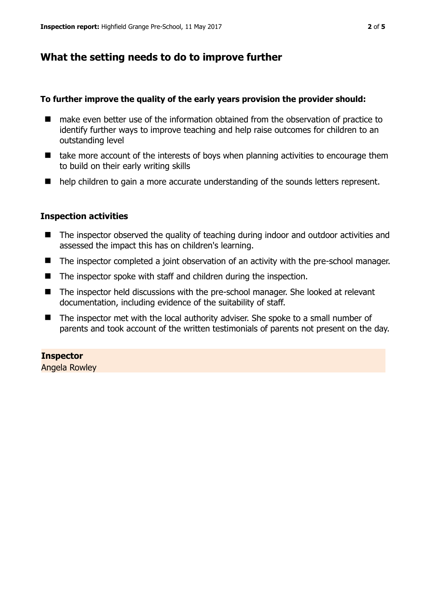## **What the setting needs to do to improve further**

#### **To further improve the quality of the early years provision the provider should:**

- make even better use of the information obtained from the observation of practice to identify further ways to improve teaching and help raise outcomes for children to an outstanding level
- $\blacksquare$  take more account of the interests of boys when planning activities to encourage them to build on their early writing skills
- help children to gain a more accurate understanding of the sounds letters represent.

#### **Inspection activities**

- The inspector observed the quality of teaching during indoor and outdoor activities and assessed the impact this has on children's learning.
- The inspector completed a joint observation of an activity with the pre-school manager.
- The inspector spoke with staff and children during the inspection.
- The inspector held discussions with the pre-school manager. She looked at relevant documentation, including evidence of the suitability of staff.
- The inspector met with the local authority adviser. She spoke to a small number of parents and took account of the written testimonials of parents not present on the day.

#### **Inspector**

Angela Rowley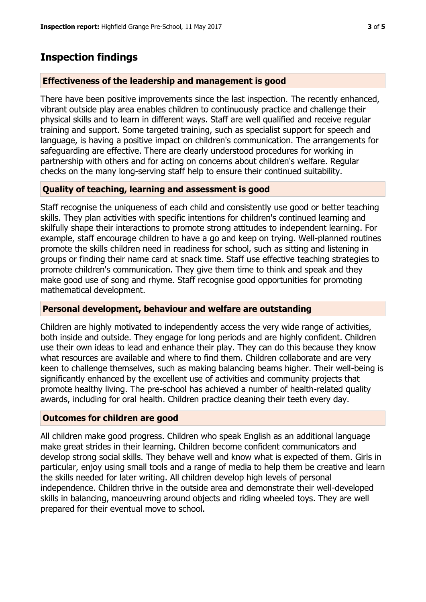## **Inspection findings**

#### **Effectiveness of the leadership and management is good**

There have been positive improvements since the last inspection. The recently enhanced, vibrant outside play area enables children to continuously practice and challenge their physical skills and to learn in different ways. Staff are well qualified and receive regular training and support. Some targeted training, such as specialist support for speech and language, is having a positive impact on children's communication. The arrangements for safeguarding are effective. There are clearly understood procedures for working in partnership with others and for acting on concerns about children's welfare. Regular checks on the many long-serving staff help to ensure their continued suitability.

## **Quality of teaching, learning and assessment is good**

Staff recognise the uniqueness of each child and consistently use good or better teaching skills. They plan activities with specific intentions for children's continued learning and skilfully shape their interactions to promote strong attitudes to independent learning. For example, staff encourage children to have a go and keep on trying. Well-planned routines promote the skills children need in readiness for school, such as sitting and listening in groups or finding their name card at snack time. Staff use effective teaching strategies to promote children's communication. They give them time to think and speak and they make good use of song and rhyme. Staff recognise good opportunities for promoting mathematical development.

#### **Personal development, behaviour and welfare are outstanding**

Children are highly motivated to independently access the very wide range of activities, both inside and outside. They engage for long periods and are highly confident. Children use their own ideas to lead and enhance their play. They can do this because they know what resources are available and where to find them. Children collaborate and are very keen to challenge themselves, such as making balancing beams higher. Their well-being is significantly enhanced by the excellent use of activities and community projects that promote healthy living. The pre-school has achieved a number of health-related quality awards, including for oral health. Children practice cleaning their teeth every day.

#### **Outcomes for children are good**

All children make good progress. Children who speak English as an additional language make great strides in their learning. Children become confident communicators and develop strong social skills. They behave well and know what is expected of them. Girls in particular, enjoy using small tools and a range of media to help them be creative and learn the skills needed for later writing. All children develop high levels of personal independence. Children thrive in the outside area and demonstrate their well-developed skills in balancing, manoeuvring around objects and riding wheeled toys. They are well prepared for their eventual move to school.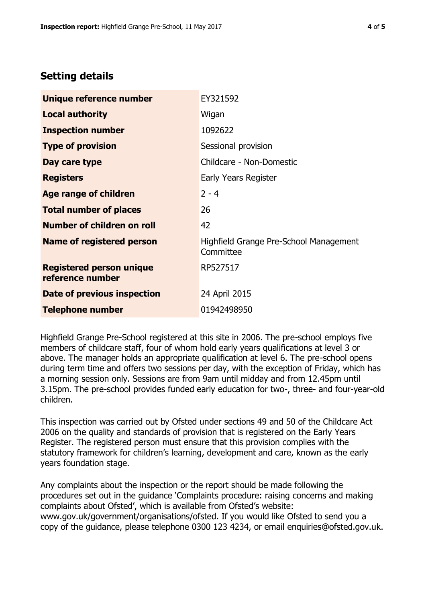# **Setting details**

| Unique reference number                             | EY321592                                            |  |
|-----------------------------------------------------|-----------------------------------------------------|--|
| <b>Local authority</b>                              | Wigan                                               |  |
| <b>Inspection number</b>                            | 1092622                                             |  |
| <b>Type of provision</b>                            | Sessional provision                                 |  |
| Day care type                                       | Childcare - Non-Domestic                            |  |
| <b>Registers</b>                                    | Early Years Register                                |  |
| <b>Age range of children</b>                        | $2 - 4$                                             |  |
| <b>Total number of places</b>                       | 26                                                  |  |
| Number of children on roll                          | 42                                                  |  |
| Name of registered person                           | Highfield Grange Pre-School Management<br>Committee |  |
| <b>Registered person unique</b><br>reference number | RP527517                                            |  |
| <b>Date of previous inspection</b>                  | 24 April 2015                                       |  |
| Telephone number                                    | 01942498950                                         |  |

Highfield Grange Pre-School registered at this site in 2006. The pre-school employs five members of childcare staff, four of whom hold early years qualifications at level 3 or above. The manager holds an appropriate qualification at level 6. The pre-school opens during term time and offers two sessions per day, with the exception of Friday, which has a morning session only. Sessions are from 9am until midday and from 12.45pm until 3.15pm. The pre-school provides funded early education for two-, three- and four-year-old children.

This inspection was carried out by Ofsted under sections 49 and 50 of the Childcare Act 2006 on the quality and standards of provision that is registered on the Early Years Register. The registered person must ensure that this provision complies with the statutory framework for children's learning, development and care, known as the early years foundation stage.

Any complaints about the inspection or the report should be made following the procedures set out in the guidance 'Complaints procedure: raising concerns and making complaints about Ofsted', which is available from Ofsted's website: www.gov.uk/government/organisations/ofsted. If you would like Ofsted to send you a copy of the guidance, please telephone 0300 123 4234, or email enquiries@ofsted.gov.uk.